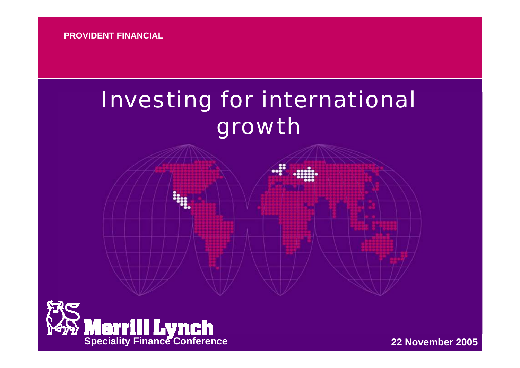# Investing for international growth



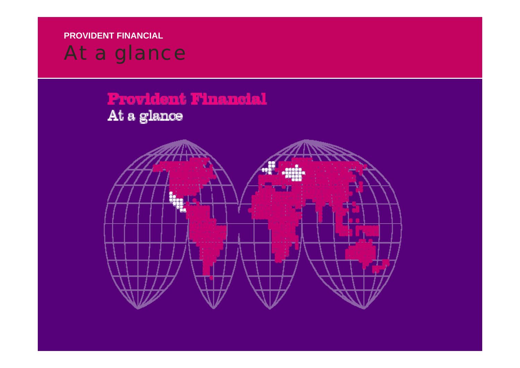## At a glance

**Provident Financial** 

## At a glance

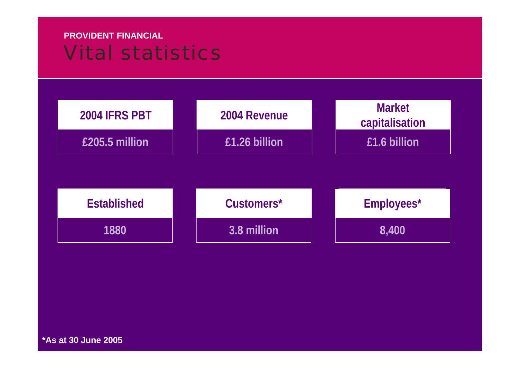### **PROVIDENT FINANCIAL**Vital statistics



**\*As at 30 June 2005**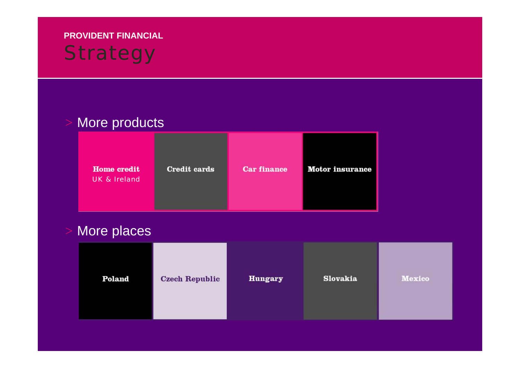## **PROVIDENT FINANCIAL Strategy**

### More products

| <b>Home</b> credit<br><b>UK &amp; Ireland</b> | <b>Credit cards</b> | <b>Car finance</b> | <b>Motor</b> insurance |
|-----------------------------------------------|---------------------|--------------------|------------------------|
|-----------------------------------------------|---------------------|--------------------|------------------------|

### More places

| Poland | <b>Czech Republic</b> | <b>Hungary</b> | Slovakia | Mexico |
|--------|-----------------------|----------------|----------|--------|
|--------|-----------------------|----------------|----------|--------|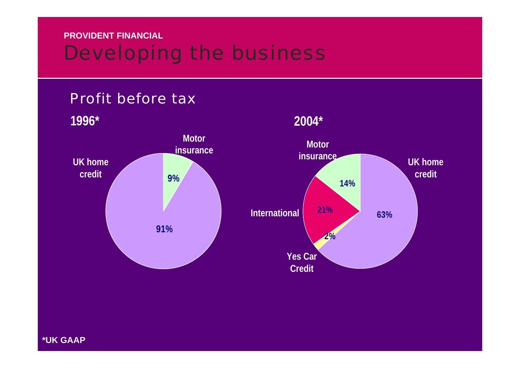## Developing the business



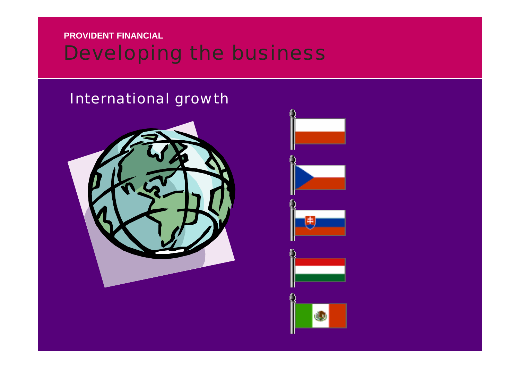### **PROVIDENT FINANCIAL**Developing the business

### International growth



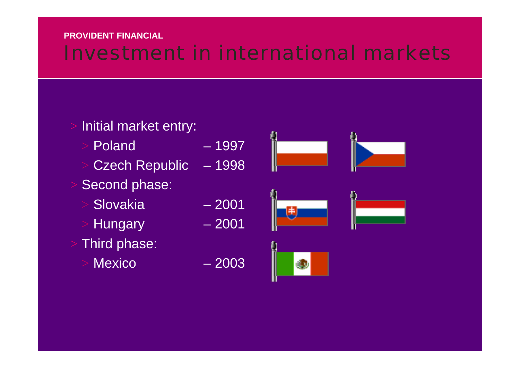## Investment in international markets

## Initial market entry: Poland – 1997 Czech Republic – 1998 Second phase: Slovakia – 2001 Hungary - 2001

- Third phase:
	- Mexico 2003





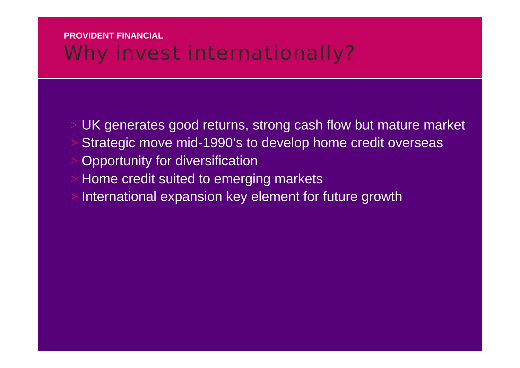### **PROVIDENT FINANCIAL**Why invest internationally?

- UK generates good returns, strong cash flow but mature market Strategic move mid-1990's to develop home credit overseas Opportunity for diversification
- Home credit suited to emerging markets
- International expansion key element for future growth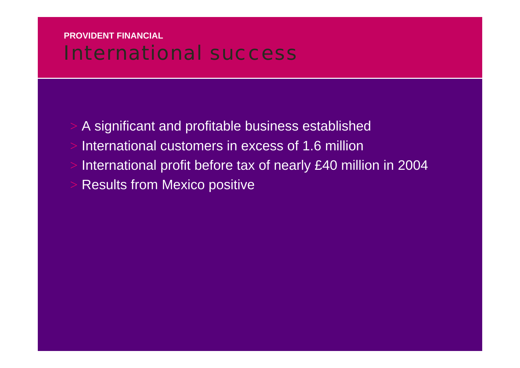### **PROVIDENT FINANCIAL**International success

 A significant and profitable business established International customers in excess of 1.6 million International profit before tax of nearly £40 million in 2004 Results from Mexico positive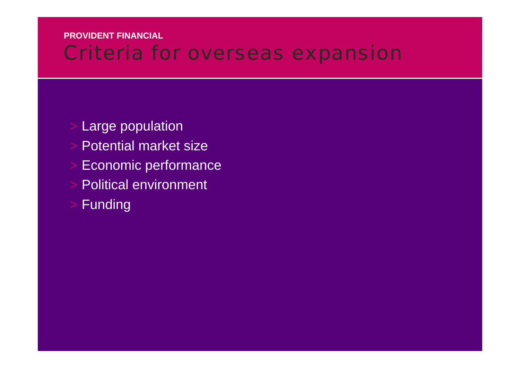## Criteria for overseas expansion

- Large population
- Potential market size
- Economic performance
- Political environment
- Funding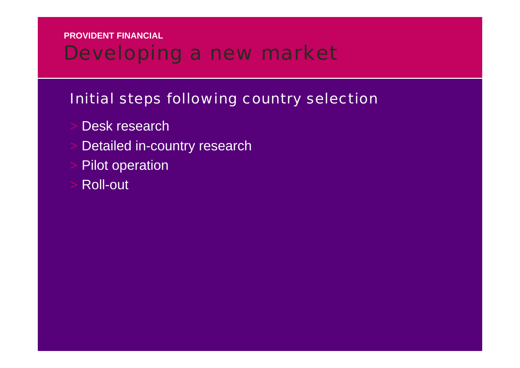## Developing a new market

### Initial steps following country selection

- Desk research
- Detailed in-country research
- Pilot operation
- Roll-out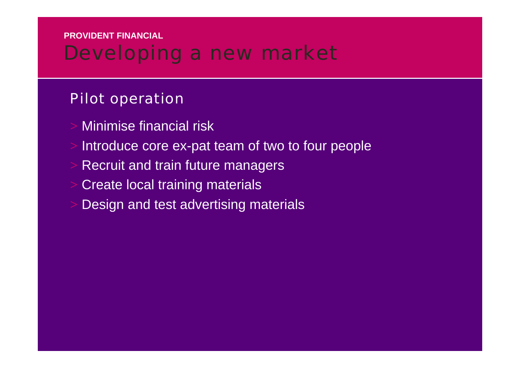## Developing a new market

### Pilot operation

- Minimise financial risk
- Introduce core ex-pat team of two to four people
- Recruit and train future managers
- Create local training materials
- Design and test advertising materials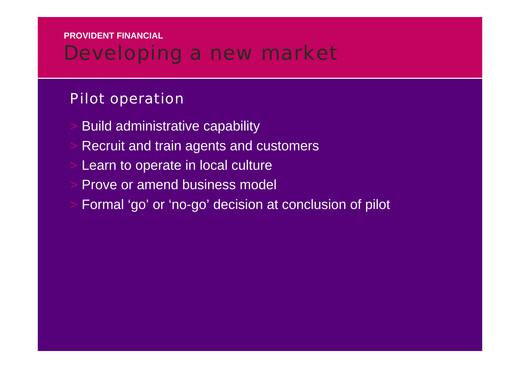## Developing a new market

### Pilot operation

- Build administrative capability
- Recruit and train agents and customers
- Learn to operate in local culture
- Prove or amend business model
- Formal 'go' or 'no-go' decision at conclusion of pilot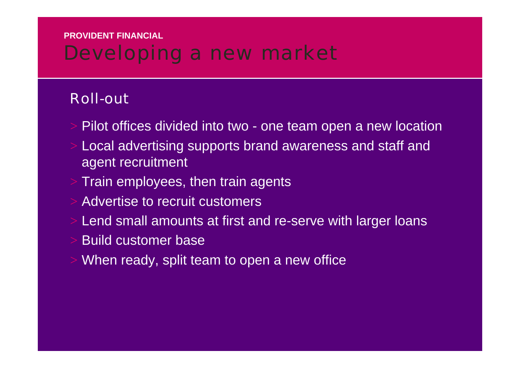## Developing a new market

### Roll-out

- Pilot offices divided into two one team open a new location
- Local advertising supports brand awareness and staff and agent recruitment
- Train employees, then train agents
- Advertise to recruit customers
- Lend small amounts at first and re-serve with larger loans
- Build customer base
- When ready, split team to open a new office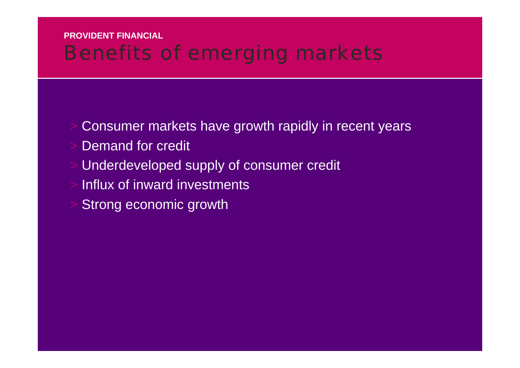## Benefits of emerging markets

- Consumer markets have growth rapidly in recent years
- Demand for credit
- Underdeveloped supply of consumer credit
- Influx of inward investments
- Strong economic growth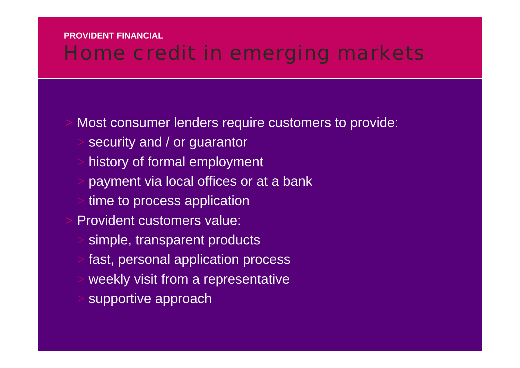## Home credit in emerging markets

Most consumer lenders require customers to provide:

- security and / or guarantor
- history of formal employment
- payment via local offices or at a bank
- time to process application
- Provident customers value:
- simple, transparent products
- fast, personal application process
- weekly visit from a representative
- supportive approach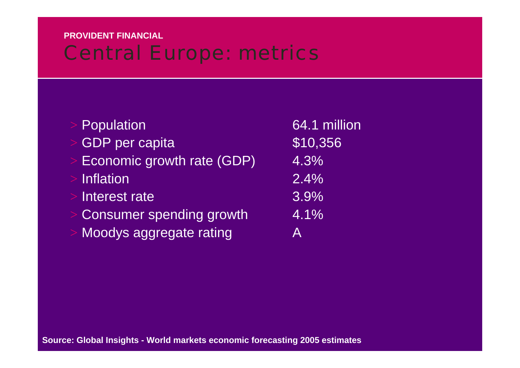## Central Europe: metrics

| Population                      | 64.1 million |
|---------------------------------|--------------|
| <b>GDP</b> per capita           | \$10,356     |
| Economic growth rate (GDP)      | 4.3%         |
| <b>Inflation</b>                | 2.4%         |
| Interest rate                   | 3.9%         |
| <b>Consumer spending growth</b> | 4.1%         |
| Moodys aggregate rating         | A            |
|                                 |              |

**Source: Global Insights - World markets economic forecasting 2005 estimates**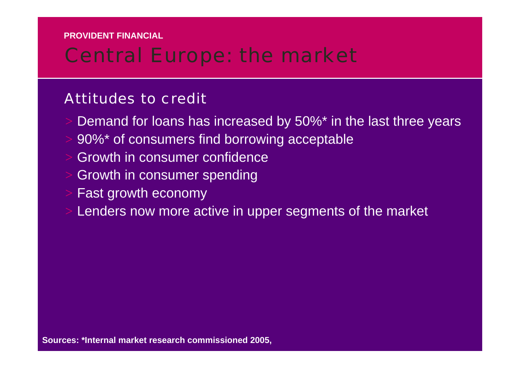## Central Europe: the market

### Attitudes to credit

- Demand for loans has increased by 50%\* in the last three years
- 90%\* of consumers find borrowing acceptable
- Growth in consumer confidence
- Growth in consumer spending
- Fast growth economy
- Lenders now more active in upper segments of the market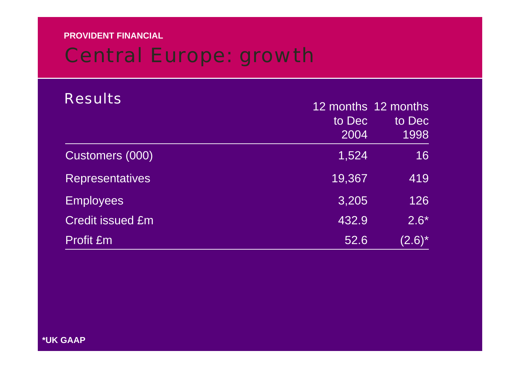## Central Europe: growth

| <b>Results</b>          |        | 12 months 12 months |
|-------------------------|--------|---------------------|
|                         | to Dec | to Dec              |
|                         | 2004   | 1998                |
| Customers (000)         | 1,524  | 16                  |
| <b>Representatives</b>  | 19,367 | 419                 |
| <b>Employees</b>        | 3,205  | 126                 |
| <b>Credit issued £m</b> | 432.9  | $2.6*$              |
| Profit £m               | 52.6   | $(2.6)^*$           |

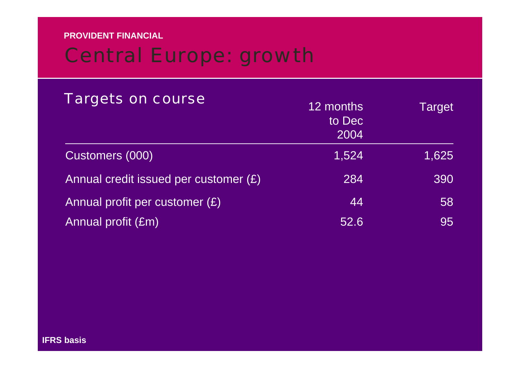## Central Europe: growth

| <b>Targets on course</b>              | 12 months<br>to Dec<br>2004 | Target |
|---------------------------------------|-----------------------------|--------|
| Customers (000)                       | 1,524                       | 1,625  |
| Annual credit issued per customer (£) | 284                         | 390    |
| Annual profit per customer $(E)$      | 44                          | 58     |
| Annual profit (£m)                    | 52.6                        | 95     |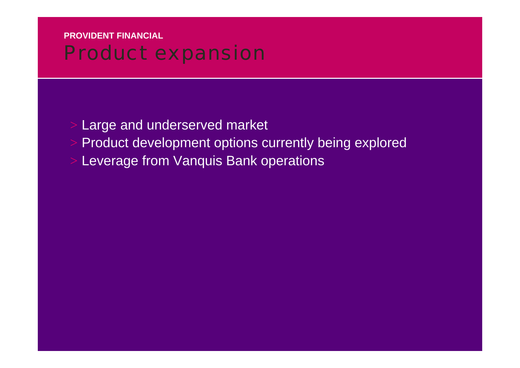### **PROVIDENT FINANCIAL**Product expansion

 Large and underserved market Product development options currently being explored Leverage from Vanquis Bank operations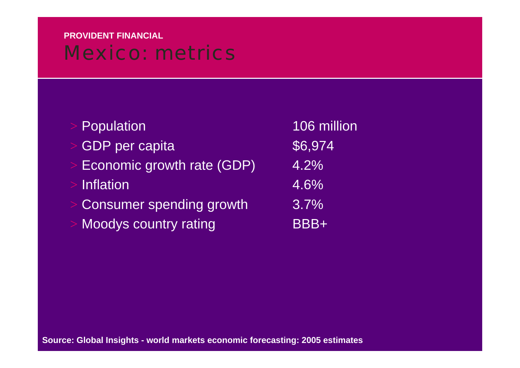### **PROVIDENT FINANCIAL**Mexico: metrics

| Population                 | 106 million |
|----------------------------|-------------|
| <b>GDP</b> per capita      | \$6,974     |
| Economic growth rate (GDP) | 4.2%        |
| <b>Inflation</b>           | 4.6%        |
| Consumer spending growth   | $3.7\%$     |
| Moodys country rating      | BBB+        |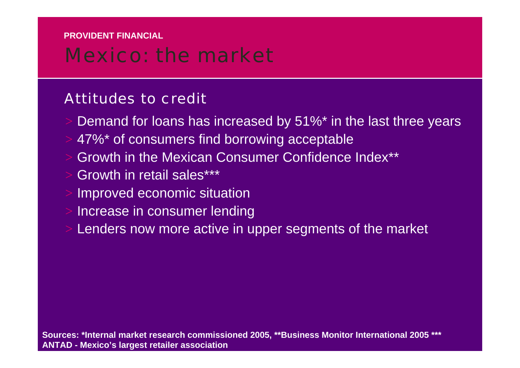## Mexico: the market

### Attitudes to credit

- Demand for loans has increased by 51%\* in the last three years
- 47%\* of consumers find borrowing acceptable
- Growth in the Mexican Consumer Confidence Index\*\*
- Growth in retail sales\*\*\*
- Improved economic situation
- Increase in consumer lending
- Lenders now more active in upper segments of the market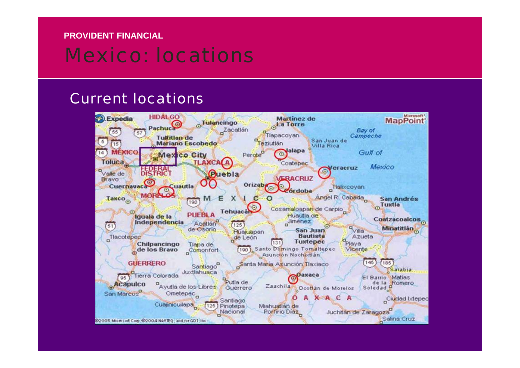## Mexico: locations

#### Current locations

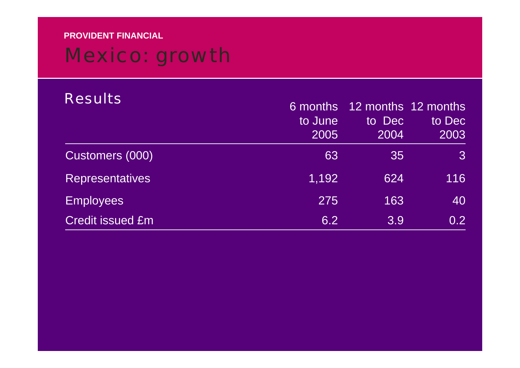# Mexico: growth

| <b>Results</b>          | 6 months<br>to June<br>2005 | to Dec<br>2004 | 12 months 12 months<br>to Dec<br>2003 |
|-------------------------|-----------------------------|----------------|---------------------------------------|
| Customers (000)         | 63                          | 35             | $\mathcal{S}$                         |
| <b>Representatives</b>  | 1,192                       | 624            | 116                                   |
| <b>Employees</b>        | 275                         | 163            | 40                                    |
| <b>Credit issued £m</b> | 6.2                         | 3.9            | 0.2 <sub>1</sub>                      |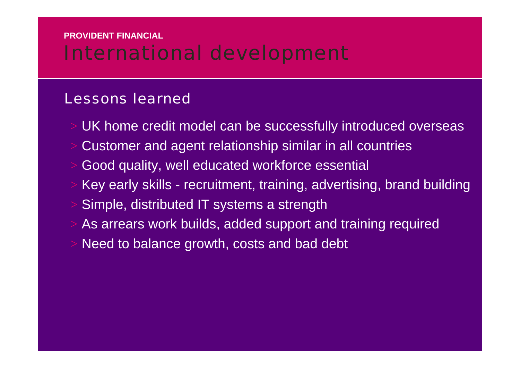## International development

### Lessons learned

- UK home credit model can be successfully introduced overseas
- Customer and agent relationship similar in all countries
- Good quality, well educated workforce essential
- Key early skills recruitment, training, advertising, brand building Simple, distributed IT systems a strength
- As arrears work builds, added support and training required
- Need to balance growth, costs and bad debt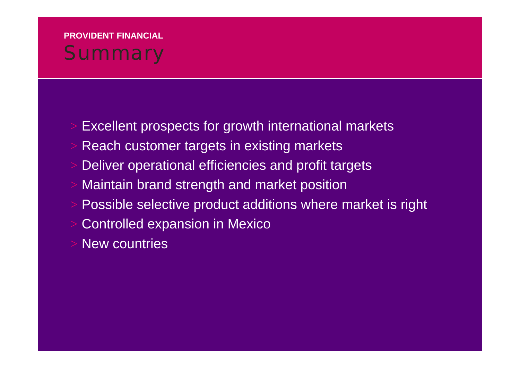### **PROVIDENT FINANCIALSummary**

- Excellent prospects for growth international markets
- Reach customer targets in existing markets
- Deliver operational efficiencies and profit targets
- Maintain brand strength and market position
- Possible selective product additions where market is right
- Controlled expansion in Mexico
- New countries